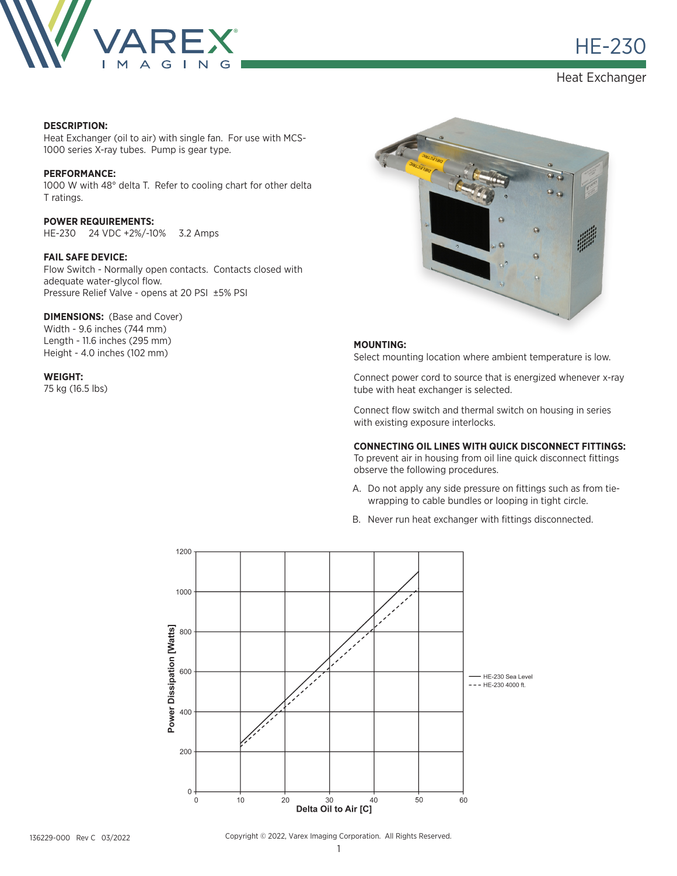

**HE-230** 

Heat Exchanger

#### **DESCRIPTION:**

Heat Exchanger (oil to air) with single fan. For use with MCS-1000 series X-ray tubes. Pump is gear type.

## **PERFORMANCE:**

1000 W with 48° delta T. Refer to cooling chart for other delta T ratings.

**POWER REQUIREMENTS:** HE-230 24 VDC +2%/-10% 3.2 Amps

#### **FAIL SAFE DEVICE:**

Flow Switch - Normally open contacts. Contacts closed with adequate water-glycol flow. Pressure Relief Valve - opens at 20 PSI ±5% PSI

## **DIMENSIONS: (Base and Cover)**

Width - 9.6 inches (744 mm) Length - 11.6 inches (295 mm) Height - 4.0 inches (102 mm)

#### **WEIGHT:**

75 kg (16.5 lbs)



#### **MOUNTING:**

Select mounting location where ambient temperature is low.

Connect power cord to source that is energized whenever x-ray tube with heat exchanger is selected.

Connect flow switch and thermal switch on housing in series with existing exposure interlocks.

# **CONNECTING OIL LINES WITH QUICK DISCONNECT FITTINGS:**

To prevent air in housing from oil line quick disconnect fittings observe the following procedures.

- A. Do not apply any side pressure on fittings such as from tiewrapping to cable bundles or looping in tight circle.
- B. Never run heat exchanger with fittings disconnected.



Copyright © 2022, Varex Imaging Corporation. All Rights Reserved.